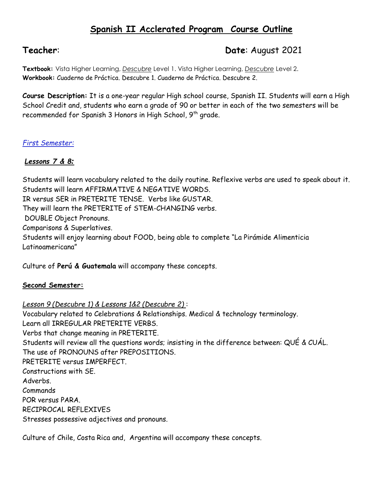# **Spanish II Acclerated Program Course Outline**

# **Teacher**: **Date**: August 2021

**Textbook:** Vista Higher Learning, *Descubre* Level 1. Vista Higher Learning, *Descubre* Level 2. **Workbook:** Cuaderno de Práctica. Descubre 1. Cuaderno de Práctica. Descubre 2.

**Course Description:** It is a one-year regular High school course, Spanish II. Students will earn a High School Credit and, students who earn a grade of 90 or better in each of the two semesters will be recommended for Spanish 3 Honors in High School, 9<sup>th</sup> grade.

## *First Semester:*

## *Lessons 7 & 8:*

Students will learn vocabulary related to the daily routine. Reflexive verbs are used to speak about it. Students will learn AFFIRMATIVE & NEGATIVE WORDS. IR versus SER in PRETERITE TENSE. Verbs like GUSTAR. They will learn the PRETERITE of STEM-CHANGING verbs. DOUBLE Object Pronouns. Comparisons & Superlatives. Students will enjoy learning about FOOD, being able to complete "La Pirámide Alimenticia Latinoamericana"

Culture of **Perú & Guatemala** will accompany these concepts.

## **Second Semester:**

*Lesson 9 (Descubre 1) & Lessons 1&2 (Descubre 2)* : Vocabulary related to Celebrations & Relationships. Medical & technology terminology. Learn all IRREGULAR PRETERITE VERBS. Verbs that change meaning in PRETERITE. Students will review all the questions words; insisting in the difference between: QUÉ & CUÁL. The use of PRONOUNS after PREPOSITIONS. PRETERITE versus IMPERFECT. Constructions with SE. Adverbs. Commands POR versus PARA. RECIPROCAL REFLEXIVES Stresses possessive adjectives and pronouns.

Culture of Chile, Costa Rica and, Argentina will accompany these concepts.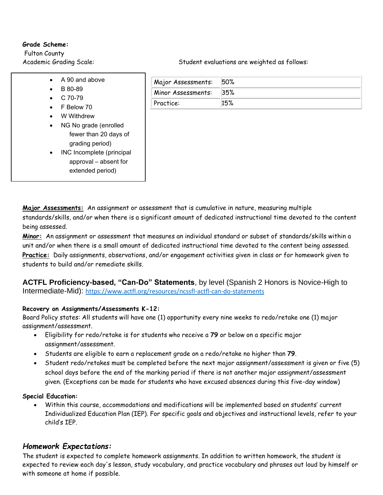#### **Grade Scheme:**

Fulton County

- A 90 and above
- B 80-89
- $\bullet$  C 70-79
- F Below 70
- W Withdrew
- NG No grade (enrolled fewer than 20 days of grading period)
- INC Incomplete (principal approval – absent for extended period)

Academic Grading Scale: Student evaluations are weighted as follows:

| Major Assessments: | <b>50%</b> |
|--------------------|------------|
| Minor Assessments: | 35%        |
| Practice:          | 15%        |

**Major Assessments:** An assignment or assessment that is cumulative in nature, measuring multiple standards/skills, and/or when there is a significant amount of dedicated instructional time devoted to the content being assessed.

**Minor:** An assignment or assessment that measures an individual standard or subset of standards/skills within a unit and/or when there is a small amount of dedicated instructional time devoted to the content being assessed. **Practice:** Daily assignments, observations, and/or engagement activities given in class or for homework given to students to build and/or remediate skills.

**ACTFL Proficiency-based, "Can-Do" Statements**, by level (Spanish 2 Honors is Novice-High to Intermediate-Mid): [https://www.actfl.org/resources/ncssfl-actfl-can-do-statements](https://nam11.safelinks.protection.outlook.com/?url=https%3A%2F%2Fwww.actfl.org%2Fresources%2Fncssfl-actfl-can-do-statements&data=04%7C01%7CGutierrez%40fultonschools.org%7C0d94f930c6a447eb22a808d959adbe9f%7C0cdcb19881694b70ba9fda7e3ba700c2%7C1%7C0%7C637639425057163725%7CUnknown%7CTWFpbGZsb3d8eyJWIjoiMC4wLjAwMDAiLCJQIjoiV2luMzIiLCJBTiI6Ik1haWwiLCJXVCI6Mn0%3D%7C1000&sdata=CP81UFM%2BBrp48oAsuEUAdZbQE7KuXSUZmy%2B4Do2XSL0%3D&reserved=0)

### **Recovery on Assignments/Assessments K-12:**

Board Policy states: All students will have one (1) opportunity every nine weeks to redo/retake one (1) major assignment/assessment.

- Eligibility for redo/retake is for students who receive a **79** or below on a specific major assignment/assessment.
- Students are eligible to earn a replacement grade on a redo/retake no higher than **79**.
- Student redo/retakes must be completed before the next major assignment/assessment is given or five (5) school days before the end of the marking period if there is not another major assignment/assessment given. (Exceptions can be made for students who have excused absences during this five-day window)

#### **Special Education:**

• Within this course, accommodations and modifications will be implemented based on students' current Individualized Education Plan (IEP). For specific goals and objectives and instructional levels, refer to your child's IEP.

## *Homework Expectations:*

The student is expected to complete homework assignments. In addition to written homework, the student is expected to review each day's lesson, study vocabulary, and practice vocabulary and phrases out loud by himself or with someone at home if possible.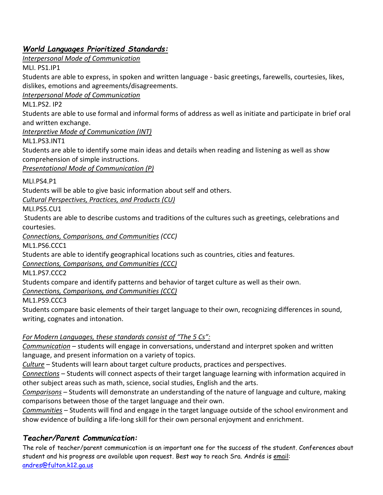# *World Languages Prioritized Standards:*

*Interpersonal Mode of Communication*

MLI. PS1.IP1

Students are able to express, in spoken and written language - basic greetings, farewells, courtesies, likes, dislikes, emotions and agreements/disagreements.

*Interpersonal Mode of Communication*

ML1.PS2. IP2

Students are able to use formal and informal forms of address as well as initiate and participate in brief oral and written exchange.

*Interpretive Mode of Communication (INT)*

ML1.PS3.INT1

Students are able to identify some main ideas and details when reading and listening as well as show comprehension of simple instructions.

*Presentational Mode of Communication (P)*

MLI.PS4.P1

Students will be able to give basic information about self and others.

*Cultural Perspectives, Practices, and Products (CU)*

MLI.PS5.CU1

Students are able to describe customs and traditions of the cultures such as greetings, celebrations and courtesies.

*Connections, Comparisons, and Communities (CCC)*

ML1.PS6.CCC1

Students are able to identify geographical locations such as countries, cities and features.

*Connections, Comparisons, and Communities (CCC)*

ML1.PS7.CCC2

Students compare and identify patterns and behavior of target culture as well as their own.

*Connections, Comparisons, and Communities (CCC)*

ML1.PS9.CCC3

Students compare basic elements of their target language to their own, recognizing differences in sound, writing, cognates and intonation.

## *For Modern Languages, these standards consist of "The 5 Cs":*

*Communication* – students will engage in conversations, understand and interpret spoken and written language, and present information on a variety of topics.

*Culture* – Students will learn about target culture products, practices and perspectives.

*Connections* – Students will connect aspects of their target language learning with information acquired in other subject areas such as math, science, social studies, English and the arts.

*Comparisons* – Students will demonstrate an understanding of the nature of language and culture, making comparisons between those of the target language and their own.

*Communities* – Students will find and engage in the target language outside of the school environment and show evidence of building a life-long skill for their own personal enjoyment and enrichment.

# *Teacher/Parent Communication:*

The role of teacher/parent communication is an important one for the success of the student. Conferences about student and his progress are available upon request. Best way to reach Sra. Andrés is email: [andres@fulton.k12.ga.us](mailto:andres@fulton.k12.ga.us)